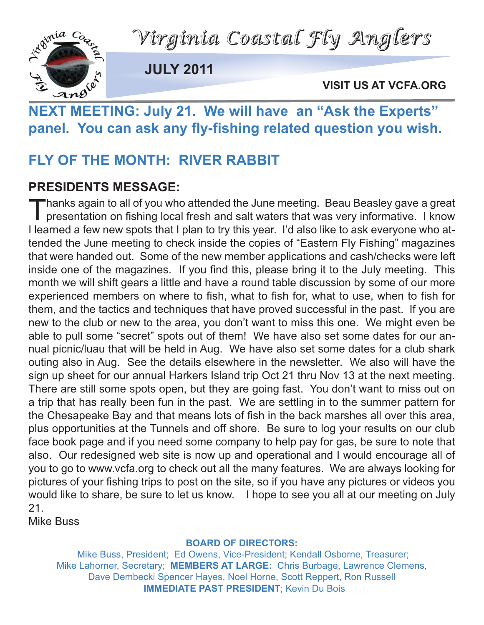



**JULY 2011**

**VISIT US AT VCFA.ORG**

## VISIT US AT VCFA.ORGETING: July 21. We will have an "Ask the Experts" **panel. You can ask any fly-fishing related question you wish.**

### **FLY OF THE MONTH: RIVER RABBIT**

### **PRESIDENTS MESSAGE:**

Thanks again to all of you who attended the June meeting. Beau Beasley gave a great<br>presentation on fishing local fresh and salt waters that was very informative. I know I learned a few new spots that I plan to try this year. I'd also like to ask everyone who attended the June meeting to check inside the copies of "Eastern Fly Fishing" magazines that were handed out. Some of the new member applications and cash/checks were left inside one of the magazines. If you find this, please bring it to the July meeting. This month we will shift gears a little and have a round table discussion by some of our more experienced members on where to fish, what to fish for, what to use, when to fish for them, and the tactics and techniques that have proved successful in the past. If you are new to the club or new to the area, you don't want to miss this one. We might even be able to pull some "secret" spots out of them! We have also set some dates for our annual picnic/luau that will be held in Aug. We have also set some dates for a club shark outing also in Aug. See the details elsewhere in the newsletter. We also will have the sign up sheet for our annual Harkers Island trip Oct 21 thru Nov 13 at the next meeting. There are still some spots open, but they are going fast. You don't want to miss out on a trip that has really been fun in the past. We are settling in to the summer pattern for the Chesapeake Bay and that means lots of fish in the back marshes all over this area, plus opportunities at the Tunnels and off shore. Be sure to log your results on our club face book page and if you need some company to help pay for gas, be sure to note that also. Our redesigned web site is now up and operational and I would encourage all of you to go to www.vcfa.org to check out all the many features. We are always looking for pictures of your fishing trips to post on the site, so if you have any pictures or videos you would like to share, be sure to let us know. I hope to see you all at our meeting on July 21.

Mike Buss

#### **BOARD OF DIRECTORS:**

Mike Buss, President; Ed Owens, Vice-President; Kendall Osborne, Treasurer; Mike Lahorner, Secretary; **MEMBERS AT LARGE:** Chris Burbage, Lawrence Clemens, Dave Dembecki Spencer Hayes, Noel Horne, Scott Reppert, Ron Russell **IMMEDIATE PAST PRESIDENT**; Kevin Du Bois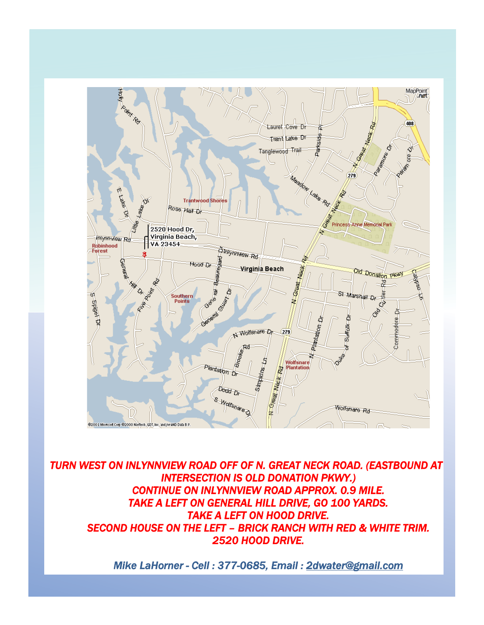

**TURN WEST ON INLYNNVIEW ROAD OFF OF N. GREAT NECK ROAD. (EASTBOUND AT** *INTERSECTION IS OLD DONATION PKWY.) CONTINUE ON INLYNNVIEW ROAD APPROX. 0.9 MILE. TAKE A LEFT ON GENERAL HILL DRIVE, GO 100 YARDS. TAKE A LEFT ON HOOD DRIVE. SECOND HOUSE ON THE LEFT – BRICK RANCH WITH RED & WHITE TRIM. 2520 HOOD DRIVE.* 

*Mike LaHorner - Cell : 377-0685, Email : 2dwater@gmail.com*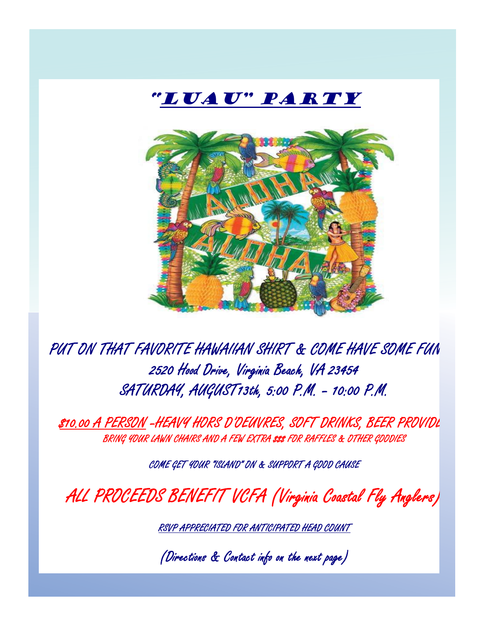

PUT ON THAT FAVORITE HAWAIIAN SHIRT & COME HAVE SOME FUN !!! 2520 Hood Drive, Virginia Beach, VA 23454 SATURDAY, AUGUST13th, 5:00 P.M. – 10:00 P.M.

 $$10.00$  A PERSON –HEAVY HORS D'OEUVRES, SOFT DRINKS, BEER PROVIDL BRING YOUR LAWN CHAIRS AND A FEW EXTRA \$\$ FOR RAFFLES & OTHER GOODIES

COME GET YOUR "ISLAND" ON & SUPPORT A GOOD CAUSE

ALL PROCEEDS BENEFIT VCFA (Virginia Coastal Fly Anglers)

RSVP APPRECIATED FOR ANTICIPATED HEAD COUNT

(Directions & Contact info on the next page)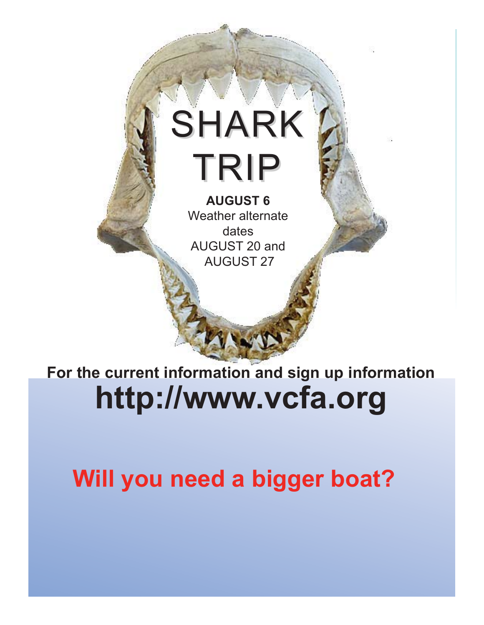# SHARK TRIP **AUGUST 6**

Weather alternate dates AUGUST 20 and AUGUST 27

**For the current information and sign up information http://www.vcfa.org**

**Will you need a bigger boat?**